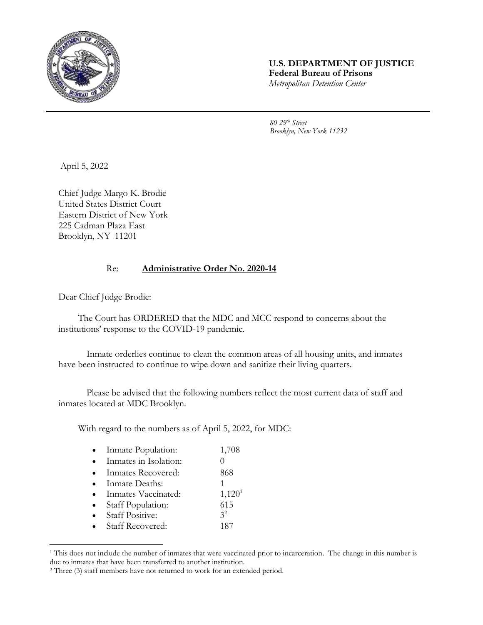

## **U.S. DEPARTMENT OF JUSTICE Federal Bureau of Prisons** *Metropolitan Detention Center*

*80 29th Street Brooklyn, New York 11232*

April 5, 2022

Chief Judge Margo K. Brodie United States District Court Eastern District of New York 225 Cadman Plaza East Brooklyn, NY 11201

## Re: **Administrative Order No. 2020-14**

Dear Chief Judge Brodie:

l

The Court has ORDERED that the MDC and MCC respond to concerns about the institutions' response to the COVID-19 pandemic.

Inmate orderlies continue to clean the common areas of all housing units, and inmates have been instructed to continue to wipe down and sanitize their living quarters.

Please be advised that the following numbers reflect the most current data of staff and inmates located at MDC Brooklyn.

With regard to the numbers as of April 5, 2022, for MDC:

| Inmate Population:      | 1,708              |
|-------------------------|--------------------|
| Inmates in Isolation:   |                    |
| Inmates Recovered:      | 868                |
| Inmate Deaths:          |                    |
| Inmates Vaccinated:     | 1,120 <sup>1</sup> |
| Staff Population:       | 615                |
| <b>Staff Positive:</b>  | 3 <sup>2</sup>     |
| <b>Staff Recovered:</b> | 187                |
|                         |                    |

<sup>&</sup>lt;sup>1</sup> This does not include the number of inmates that were vaccinated prior to incarceration. The change in this number is due to inmates that have been transferred to another institution.

<sup>2</sup> Three (3) staff members have not returned to work for an extended period.